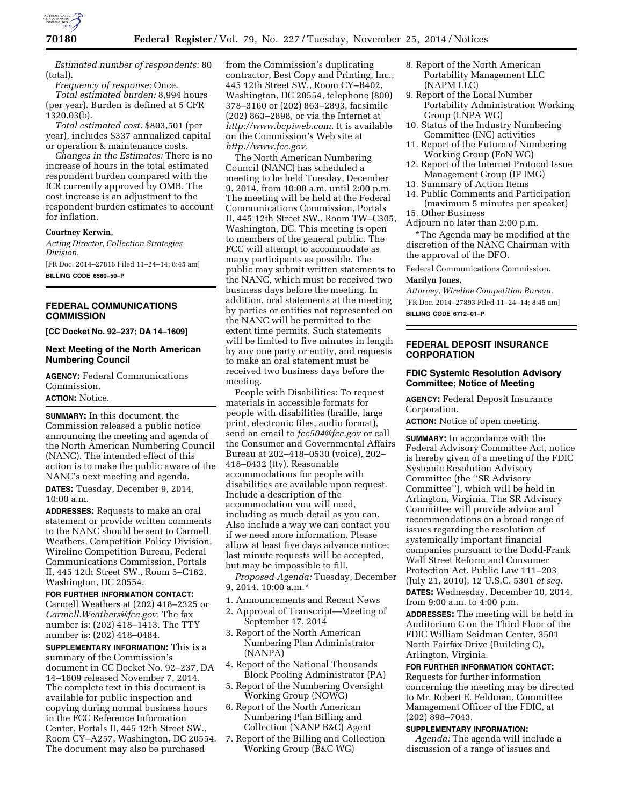

*Estimated number of respondents:* 80 (total).

*Frequency of response:* Once. *Total estimated burden:* 8,994 hours (per year). Burden is defined at 5 CFR 1320.03(b).

*Total estimated cost:* \$803,501 (per year), includes \$337 annualized capital or operation & maintenance costs.

*Changes in the Estimates:* There is no increase of hours in the total estimated respondent burden compared with the ICR currently approved by OMB. The cost increase is an adjustment to the respondent burden estimates to account for inflation.

## **Courtney Kerwin,**

*Acting Director, Collection Strategies Division.* 

[FR Doc. 2014–27816 Filed 11–24–14; 8:45 am] **BILLING CODE 6560–50–P** 

## **FEDERAL COMMUNICATIONS COMMISSION**

**[CC Docket No. 92–237; DA 14–1609]** 

## **Next Meeting of the North American Numbering Council**

**AGENCY:** Federal Communications Commission.

# **ACTION:** Notice.

**SUMMARY:** In this document, the Commission released a public notice announcing the meeting and agenda of the North American Numbering Council (NANC). The intended effect of this action is to make the public aware of the NANC's next meeting and agenda. **DATES:** Tuesday, December 9, 2014, 10:00 a.m.

**ADDRESSES:** Requests to make an oral statement or provide written comments to the NANC should be sent to Carmell Weathers, Competition Policy Division, Wireline Competition Bureau, Federal Communications Commission, Portals II, 445 12th Street SW., Room 5–C162, Washington, DC 20554.

**FOR FURTHER INFORMATION CONTACT:**  Carmell Weathers at (202) 418–2325 or *[Carmell.Weathers@fcc.gov.](mailto:Carmell.Weathers@fcc.gov)* The fax number is: (202) 418–1413. The TTY number is: (202) 418–0484.

**SUPPLEMENTARY INFORMATION:** This is a summary of the Commission's document in CC Docket No. 92–237, DA 14–1609 released November 7, 2014. The complete text in this document is available for public inspection and copying during normal business hours in the FCC Reference Information Center, Portals II, 445 12th Street SW., Room CY–A257, Washington, DC 20554. The document may also be purchased

from the Commission's duplicating contractor, Best Copy and Printing, Inc., 445 12th Street SW., Room CY–B402, Washington, DC 20554, telephone (800) 378–3160 or (202) 863–2893, facsimile (202) 863–2898, or via the Internet at *[http://www.bcpiweb.com.](http://www.bcpiweb.com)* It is available on the Commission's Web site at *[http://www.fcc.gov.](http://www.fcc.gov)* 

The North American Numbering Council (NANC) has scheduled a meeting to be held Tuesday, December 9, 2014, from 10:00 a.m. until 2:00 p.m. The meeting will be held at the Federal Communications Commission, Portals II, 445 12th Street SW., Room TW–C305, Washington, DC. This meeting is open to members of the general public. The FCC will attempt to accommodate as many participants as possible. The public may submit written statements to the NANC, which must be received two business days before the meeting. In addition, oral statements at the meeting by parties or entities not represented on the NANC will be permitted to the extent time permits. Such statements will be limited to five minutes in length by any one party or entity, and requests to make an oral statement must be received two business days before the meeting.

People with Disabilities: To request materials in accessible formats for people with disabilities (braille, large print, electronic files, audio format), send an email to *[fcc504@fcc.gov](mailto:fcc504@fcc.gov)* or call the Consumer and Governmental Affairs Bureau at 202–418–0530 (voice), 202– 418–0432 (tty). Reasonable accommodations for people with disabilities are available upon request. Include a description of the accommodation you will need, including as much detail as you can. Also include a way we can contact you if we need more information. Please allow at least five days advance notice; last minute requests will be accepted, but may be impossible to fill.

*Proposed Agenda:* Tuesday, December 9, 2014, 10:00 a.m.\*

- 1. Announcements and Recent News
- 2. Approval of Transcript—Meeting of September 17, 2014
- 3. Report of the North American Numbering Plan Administrator (NANPA)
- 4. Report of the National Thousands Block Pooling Administrator (PA)
- 5. Report of the Numbering Oversight Working Group (NOWG)
- 6. Report of the North American Numbering Plan Billing and Collection (NANP B&C) Agent
- 7. Report of the Billing and Collection Working Group (B&C WG)
- 8. Report of the North American Portability Management LLC (NAPM LLC)
- 9. Report of the Local Number Portability Administration Working Group (LNPA WG)
- 10. Status of the Industry Numbering Committee (INC) activities
- 11. Report of the Future of Numbering Working Group (FoN WG)
- 12. Report of the Internet Protocol Issue Management Group (IP IMG)
- 13. Summary of Action Items
- 14. Public Comments and Participation (maximum 5 minutes per speaker) 15. Other Business
- Adjourn no later than 2:00 p.m.

\*The Agenda may be modified at the discretion of the NANC Chairman with the approval of the DFO.

Federal Communications Commission. **Marilyn Jones,** 

*Attorney, Wireline Competition Bureau.*  [FR Doc. 2014–27893 Filed 11–24–14; 8:45 am] **BILLING CODE 6712–01–P** 

## **FEDERAL DEPOSIT INSURANCE CORPORATION**

## **FDIC Systemic Resolution Advisory Committee; Notice of Meeting**

**AGENCY:** Federal Deposit Insurance Corporation.

**ACTION:** Notice of open meeting.

**SUMMARY:** In accordance with the Federal Advisory Committee Act, notice is hereby given of a meeting of the FDIC Systemic Resolution Advisory Committee (the ''SR Advisory Committee''), which will be held in Arlington, Virginia. The SR Advisory Committee will provide advice and recommendations on a broad range of issues regarding the resolution of systemically important financial companies pursuant to the Dodd-Frank Wall Street Reform and Consumer Protection Act, Public Law 111–203 (July 21, 2010), 12 U.S.C. 5301 *et seq.*  **DATES:** Wednesday, December 10, 2014, from 9:00 a.m. to 4:00 p.m.

**ADDRESSES:** The meeting will be held in Auditorium C on the Third Floor of the FDIC William Seidman Center, 3501 North Fairfax Drive (Building C), Arlington, Virginia.

## **FOR FURTHER INFORMATION CONTACT:**

Requests for further information concerning the meeting may be directed to Mr. Robert E. Feldman, Committee Management Officer of the FDIC, at (202) 898–7043.

#### **SUPPLEMENTARY INFORMATION:**

*Agenda:* The agenda will include a discussion of a range of issues and